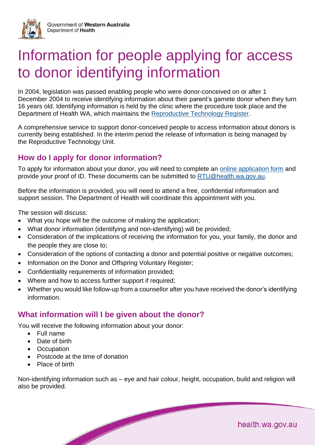

# Information for people applying for access to donor identifying information

In 2004, legislation was passed enabling people who were donor-conceived on or after 1 December 2004 to receive identifying information about their parent's gamete donor when they turn 16 years old. Identifying information is held by the clinic where the procedure took place and the Department of Health WA, which maintains the [Reproductive Technology Register.](https://ww2.health.wa.gov.au/Articles/N_R/Reproductive-Technology-Treatment-Registers)

A comprehensive service to support donor-conceived people to access information about donors is currently being established. In the interim period the release of information is being managed by the Reproductive Technology Unit.

# **How do I apply for donor information?**

To apply for information about your donor, you will need to complete an [online application form](https://ww2.health.wa.gov.au/~/media/Files/Corporate/general-documents/Assisted-reproductive-technology/PDF/Application-for-donor-information-2022-v20.pdf) and provide your proof of ID. These documents can be submitted to [RTU@health.wa.gov.au.](mailto:RTU@health.wa.gov.au)

Before the information is provided, you will need to attend a free, confidential information and support session. The Department of Health will coordinate this appointment with you.

The session will discuss:

- What you hope will be the outcome of making the application;
- What donor information (identifying and non-identifying) will be provided;
- Consideration of the implications of receiving the information for you, your family, the donor and the people they are close to;
- Consideration of the options of contacting a donor and potential positive or negative outcomes;
- Information on the Donor and Offspring Voluntary Register;
- Confidentiality requirements of information provided;
- Where and how to access further support if required:
- Whether you would like follow-up from a counsellor after you have received the donor's identifying information.

# **What information will I be given about the donor?**

You will receive the following information about your donor:

- Full name
- Date of birth
- Occupation
- Postcode at the time of donation
- Place of birth

Non-identifying information such as – eye and hair colour, height, occupation, build and religion will also be provided.